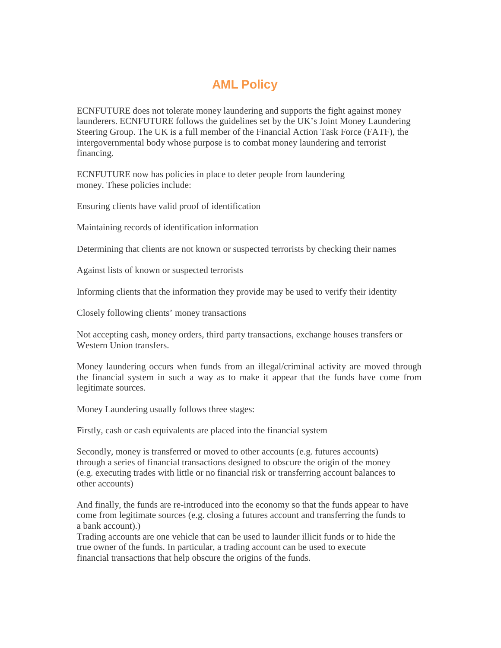## **AML Policy**

ECNFUTURE does not tolerate money laundering and supports the fight against money launderers. ECNFUTURE follows the guidelines set by the UK's Joint Money Laundering Steering Group. The UK is a full member of the Financial Action Task Force (FATF), the intergovernmental body whose purpose is to combat money laundering and terrorist financing.

ECNFUTURE now has policies in place to deter people from laundering money. These policies include:

Ensuring clients have valid proof of identification

Maintaining records of identification information

Determining that clients are not known or suspected terrorists by checking their names

Against lists of known or suspected terrorists

Informing clients that the information they provide may be used to verify their identity

Closely following clients' money transactions

Not accepting cash, money orders, third party transactions, exchange houses transfers or Western Union transfers.

Money laundering occurs when funds from an illegal/criminal activity are moved through the financial system in such a way as to make it appear that the funds have come from legitimate sources.

Money Laundering usually follows three stages:

Firstly, cash or cash equivalents are placed into the financial system

Secondly, money is transferred or moved to other accounts (e.g. futures accounts) through a series of financial transactions designed to obscure the origin of the money (e.g. executing trades with little or no financial risk or transferring account balances to other accounts)

And finally, the funds are re-introduced into the economy so that the funds appear to have come from legitimate sources (e.g. closing a futures account and transferring the funds to a bank account).)

Trading accounts are one vehicle that can be used to launder illicit funds or to hide the true owner of the funds. In particular, a trading account can be used to execute financial transactions that help obscure the origins of the funds.